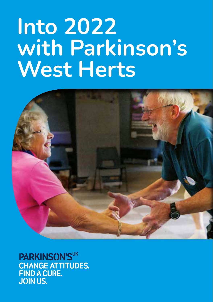# **Into 2022 with Parkinson's West Herts**



PARKINSON'SUK **CHANGE ATTITUDES. FIND A CURE. JOIN US.**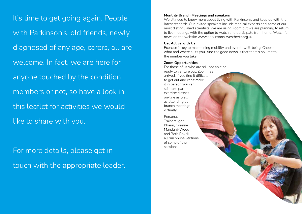It's time to get going again. People with Parkinson's, old friends, newly diagnosed of any age, carers, all are welcome. In fact, we are here for anyone touched by the condition, members or not, so have a look in this leaflet for activities we would like to share with you.

For more details, please get in touch with the appropriate leader.

#### **Monthly Branch Meetings and speakers**

We all need to know more about living with Parkinson's and keep up with the latest research. Our invited speakers include medical experts and some of our most distinguished scientists We are using Zoom but we are planning to return to live meetings with the option to watch and participate from home. Watch for news on the website www.parkinsons-westherts.org.uk

#### **Get Active with Us**

Exercise is key to maintaining mobility and overall well-being! Choose what and where suits you. And the good news is that there's no limit to the number you take.

## **Zoom Opportunities**

For those of us who are still not able or ready to venture out, Zoom has arrived. If you find it difficult to get out and can't make it in person you can still take part in exercise classes on-line as well as attending our branch meetings virtually.

Personal Trainers Igor Kharin, Corinne Mandard-Wood and Beth Boxall all run online versions of some of their sessions.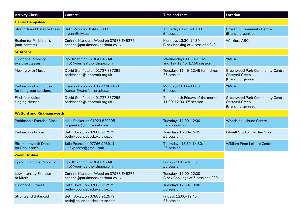| <b>Activity Class</b>                                  | <b>Contact</b>                                                           | Time and cost                                              | Location                                                                              |
|--------------------------------------------------------|--------------------------------------------------------------------------|------------------------------------------------------------|---------------------------------------------------------------------------------------|
| <b>Hemel Hempstead</b>                                 |                                                                          |                                                            |                                                                                       |
| <b>Strength and Balance Class</b>                      | Ruth Venn on 01442 399333<br>r-venn@sky.com                              | Thursdays 12:00-13:00<br>£4 session                        | <b>Grovehill Community Centre</b><br>(Branch organised)                               |
| <b>Boxing for Parkinson's</b><br>(non-contact)         | Corinne Mandard-Wood on 07988 649275<br>corinne@parkinsonsknockout.co.uk | Mondays 13:30-14:30<br>Block booking of 4 sessions £40     | <b>Warriors ABC</b>                                                                   |
| <b>St Albans</b>                                       |                                                                          |                                                            |                                                                                       |
| <b>Functional Mobility</b><br>exercise classes         | Igor Kharin on 07864 646846<br>info@yourhealthwithigor.com               | Wednesdays 11:00-11:45<br>and 12-12.45 £7.50 session       | <b>YMCA</b>                                                                           |
| Moving with Music                                      | David Stanfield on 01727 837295<br>parkinsons@knotwork.org.uk            | Tuesdays 11:45-12:45 term times<br>£5 session              | <b>Greenwood Park Community Centre</b><br><b>Chiswell Green</b><br>(Branch organised) |
| <b>Parkinson's Badminton</b><br>for fun group sessions | <b>Frances Bacon on 01727 867168</b><br>frances@randfbacon.plus.com      | Mondays 10:00-11:00.<br>£4 session                         | <b>YMCA</b>                                                                           |
| <b>Find Your Voice</b><br>singing classes              | David Stanfield on 01727 837295<br>parkinsons@knotwork.org.uk            | 2nd and 4th Fridays of the month<br>11:00-12:00 £5 session | <b>Greenwood Park Community Centre</b><br><b>Chiswell Green</b><br>(Branch organised) |
| <b>Watford and Rickmansworth</b>                       |                                                                          |                                                            |                                                                                       |
| <b>Parkinson's Exercise Class</b>                      | Mike Peaker on 01923 820395<br>mgpeaker@btinternet.com                   | Tuesdays 11:00-12:00<br>£2.25 session                      | <b>Woodside Leisure Centre</b>                                                        |
| <b>Parkinson's Power</b>                               | Beth Boxall on 07888 912579<br>beth@bouncebackexercise.com               | Tuesdays 15:00-15:45<br>£5 session                         | Fitwell Studio, Croxley Green                                                         |
| <b>Rickmansworth Dance</b><br>for Parkinson's          | Julia Pearce on 07766 903914<br>juliakpearce@gmail.com                   | Thursdays 13:30-14:30.<br>£6 session                       | <b>William Penn Leisure Centre</b>                                                    |
| <b>Zoom On-line</b>                                    |                                                                          |                                                            |                                                                                       |
| Igor's Functional Mobility                             | Igor Kharin on 07864 646846<br>info@yourhealthwithigor.com               | Fridays 10:05-10:35<br>£5 session                          |                                                                                       |
| Low intensity Exercise<br>to Music                     | Corinne Mandard-Wood on 07988 649275<br>corinne@parkinsonsknockout.co.uk | Tuesdays 11:00-12:00<br>Block Bookings of 6 sessions £39   |                                                                                       |
| <b>Functional Fitness</b>                              | Beth Boxall on 07888 912579<br>beth@bouncebackexercise.com               | Tuesdays 12:30-13:00<br>£5 session                         |                                                                                       |
| <b>Strong and Balanced</b>                             | Beth Boxall on 07888 912579<br>beth@bouncebackexercise.com               | Fridays 12:00-12:45<br>£5 session                          |                                                                                       |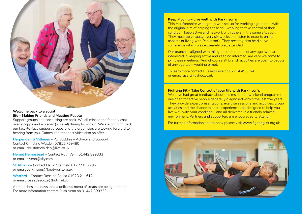

## **Welcome back to a social life – Making Friends and Meeting People**

Support groups and socialising are back. We all missed the friendly chat over a cuppa and a biscuit (or cake!) during lockdown. We are bringing back our face-to-face support groups and the organisers are looking forward to hearing from you. Games and other activities also on offer.

**Harpenden & Villages** – PD Buddies – Activity and Support. Contact Christine Walden 07815 759480 or email christinewalden@live.co.uk

**Hemel Hempstead** – Contact Ruth Venn 01442 399333 or email r-venn@sky.com

**St Albans** – Contact David Stanfield 01727 837295 or email parkinsons@knotwork.org.uk

**Watford** – Contact Rose de Souza 01923 211612 or email rose2desouza@hotmail.com

And lunches, holidays, and a delicious menu of treats are being planned. For more information contact Ruth Venn on 01442 399333.

#### **Keep Moving – Live well with Parkinson's**

This Hertfordshire wide group was set up for working age people with the original aim of helping those still working to take control of their condition, keep active and network with others in the same situation. They meet up virtually every six weeks and listen to experts on all aspects of living with Parkinson's. They recently also held a live conference which was extremely well attended.

Our branch is aligned with this group and people of any age, who are interested in keeping active and keeping informed, are very welcome to join these meetings. And of course all branch activities are open to people of any age too – working or not.

To learn more contact Russell Price on 07714 493154 or email russfc@yahoo.co.uk

## **Fighting Fit – Take Control of your life with Parkinson's**

We have had great feedback about this residential weekend programme designed for active people generally diagnosed within the last five years. They provide expert presentations, exercise sessions and activities, group activities and the chance to share experiences, all designed to help you live well with your condition – and all delivered in a friendly relaxed environment. Partners and supporters are encouraged to attend.

For further information and to book please visit www.fighting-fit.org.uk